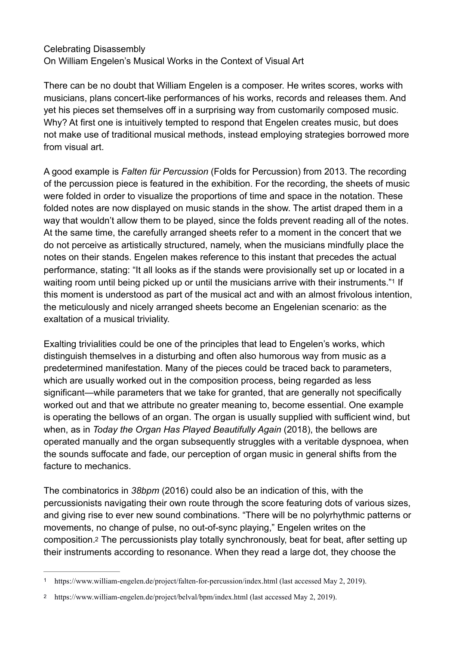## Celebrating Disassembly On William Engelen's Musical Works in the Context of Visual Art

There can be no doubt that William Engelen is a composer. He writes scores, works with musicians, plans concert-like performances of his works, records and releases them. And yet his pieces set themselves off in a surprising way from customarily composed music. Why? At first one is intuitively tempted to respond that Engelen creates music, but does not make use of traditional musical methods, instead employing strategies borrowed more from visual art.

A good example is *Falten für Percussion* (Folds for Percussion) from 2013. The recording of the percussion piece is featured in the exhibition. For the recording, the sheets of music were folded in order to visualize the proportions of time and space in the notation. These folded notes are now displayed on music stands in the show. The artist draped them in a way that wouldn't allow them to be played, since the folds prevent reading all of the notes. At the same time, the carefully arranged sheets refer to a moment in the concert that we do not perceive as artistically structured, namely, when the musicians mindfully place the notes on their stands. Engelen makes reference to this instant that precedes the actual performance, stating: "It all looks as if the stands were provisionally set up or located in a waiting room until being picked up or until the musicians arrive with their instruments.["](#page-0-0)<sup>[1](#page-0-0)</sup> If this moment is understood as part of the musical act and with an almost frivolous intention, the meticulously and nicely arranged sheets become an Engelenian scenario: as the exaltation of a musical triviality.

<span id="page-0-2"></span>Exalting trivialities could be one of the principles that lead to Engelen's works, which distinguish themselves in a disturbing and often also humorous way from music as a predetermined manifestation. Many of the pieces could be traced back to parameters, which are usually worked out in the composition process, being regarded as less significant—while parameters that we take for granted, that are generally not specifically worked out and that we attribute no greater meaning to, become essential. One example is operating the bellows of an organ. The organ is usually supplied with sufficient wind, but when, as in *Today the Organ Has Played Beautifully Again* (2018), the bellows are operated manually and the organ subsequently struggles with a veritable dyspnoea, when the sounds suffocate and fade, our perception of organ music in general shifts from the facture to mechanics.

The combinatorics in *38bpm* (2016) could also be an indication of this, with the percussionists navigating their own route through the score featuring dots of various sizes, and giving rise to ever new sound combinations. "There will be no polyrhythmic patterns or movements, no change of pulse, no out-of-sync playing," Engelen writes on the composition[.2](#page-0-1) The percussionists play totally synchronously, beat for beat, after setting up their instruments according to resonance. When they read a large dot, they choose the

<span id="page-0-3"></span><span id="page-0-0"></span>https://www.william-engelen.de/project/falten-for-percussion/index.html (last accessed May 2, 2019). [1](#page-0-2)

<span id="page-0-1"></span><sup>&</sup>lt;sup>[2](#page-0-3)</sup> https://www.william-engelen.de/project/belval/bpm/index.html (last accessed May 2, 2019).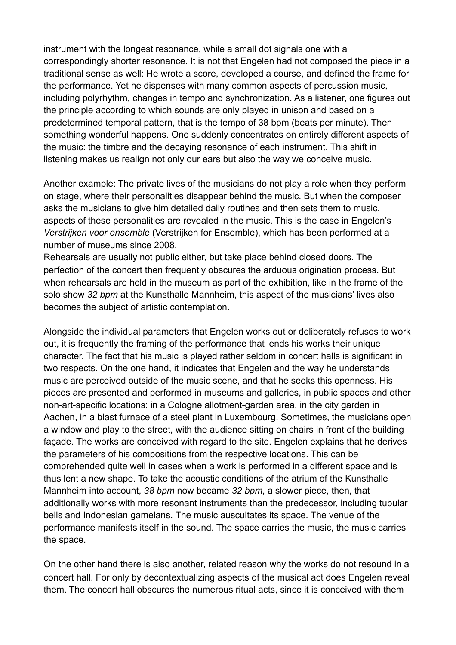instrument with the longest resonance, while a small dot signals one with a correspondingly shorter resonance. It is not that Engelen had not composed the piece in a traditional sense as well: He wrote a score, developed a course, and defined the frame for the performance. Yet he dispenses with many common aspects of percussion music, including polyrhythm, changes in tempo and synchronization. As a listener, one figures out the principle according to which sounds are only played in unison and based on a predetermined temporal pattern, that is the tempo of 38 bpm (beats per minute). Then something wonderful happens. One suddenly concentrates on entirely different aspects of the music: the timbre and the decaying resonance of each instrument. This shift in listening makes us realign not only our ears but also the way we conceive music.

Another example: The private lives of the musicians do not play a role when they perform on stage, where their personalities disappear behind the music. But when the composer asks the musicians to give him detailed daily routines and then sets them to music, aspects of these personalities are revealed in the music. This is the case in Engelen's *Verstrijken voor ensemble* (Verstrijken for Ensemble), which has been performed at a number of museums since 2008.

Rehearsals are usually not public either, but take place behind closed doors. The perfection of the concert then frequently obscures the arduous origination process. But when rehearsals are held in the museum as part of the exhibition, like in the frame of the solo show *32 bpm* at the Kunsthalle Mannheim, this aspect of the musicians' lives also becomes the subject of artistic contemplation.

Alongside the individual parameters that Engelen works out or deliberately refuses to work out, it is frequently the framing of the performance that lends his works their unique character. The fact that his music is played rather seldom in concert halls is significant in two respects. On the one hand, it indicates that Engelen and the way he understands music are perceived outside of the music scene, and that he seeks this openness. His pieces are presented and performed in museums and galleries, in public spaces and other non-art-specific locations: in a Cologne allotment-garden area, in the city garden in Aachen, in a blast furnace of a steel plant in Luxembourg. Sometimes, the musicians open a window and play to the street, with the audience sitting on chairs in front of the building façade. The works are conceived with regard to the site. Engelen explains that he derives the parameters of his compositions from the respective locations. This can be comprehended quite well in cases when a work is performed in a different space and is thus lent a new shape. To take the acoustic conditions of the atrium of the Kunsthalle Mannheim into account, *38 bpm* now became *32 bpm*, a slower piece, then, that additionally works with more resonant instruments than the predecessor, including tubular bells and Indonesian gamelans. The music auscultates its space. The venue of the performance manifests itself in the sound. The space carries the music, the music carries the space.

On the other hand there is also another, related reason why the works do not resound in a concert hall. For only by decontextualizing aspects of the musical act does Engelen reveal them. The concert hall obscures the numerous ritual acts, since it is conceived with them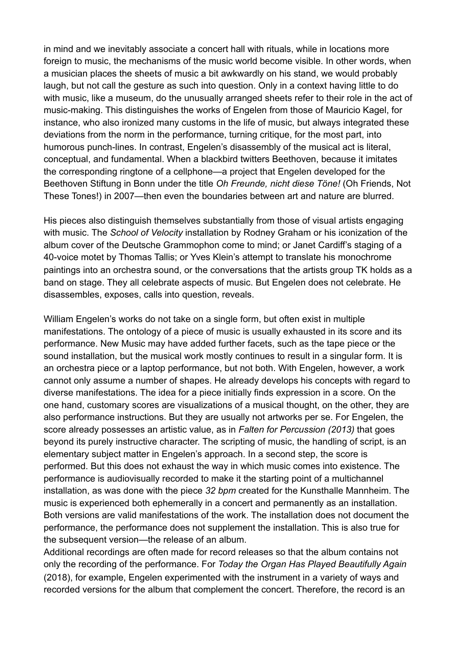in mind and we inevitably associate a concert hall with rituals, while in locations more foreign to music, the mechanisms of the music world become visible. In other words, when a musician places the sheets of music a bit awkwardly on his stand, we would probably laugh, but not call the gesture as such into question. Only in a context having little to do with music, like a museum, do the unusually arranged sheets refer to their role in the act of music-making. This distinguishes the works of Engelen from those of Mauricio Kagel, for instance, who also ironized many customs in the life of music, but always integrated these deviations from the norm in the performance, turning critique, for the most part, into humorous punch-lines. In contrast, Engelen's disassembly of the musical act is literal, conceptual, and fundamental. When a blackbird twitters Beethoven, because it imitates the corresponding ringtone of a cellphone—a project that Engelen developed for the Beethoven Stiftung in Bonn under the title *Oh Freunde, nicht diese Töne!* (Oh Friends, Not These Tones!) in 2007—then even the boundaries between art and nature are blurred.

His pieces also distinguish themselves substantially from those of visual artists engaging with music. The *School of Velocity* installation by Rodney Graham or his iconization of the album cover of the Deutsche Grammophon come to mind; or Janet Cardiff's staging of a 40-voice motet by Thomas Tallis; or Yves Klein's attempt to translate his monochrome paintings into an orchestra sound, or the conversations that the artists group TK holds as a band on stage. They all celebrate aspects of music. But Engelen does not celebrate. He disassembles, exposes, calls into question, reveals.

William Engelen's works do not take on a single form, but often exist in multiple manifestations. The ontology of a piece of music is usually exhausted in its score and its performance. New Music may have added further facets, such as the tape piece or the sound installation, but the musical work mostly continues to result in a singular form. It is an orchestra piece or a laptop performance, but not both. With Engelen, however, a work cannot only assume a number of shapes. He already develops his concepts with regard to diverse manifestations. The idea for a piece initially finds expression in a score. On the one hand, customary scores are visualizations of a musical thought, on the other, they are also performance instructions. But they are usually not artworks per se. For Engelen, the score already possesses an artistic value, as in *Falten for Percussion (2013)* that goes beyond its purely instructive character. The scripting of music, the handling of script, is an elementary subject matter in Engelen's approach. In a second step, the score is performed. But this does not exhaust the way in which music comes into existence. The performance is audiovisually recorded to make it the starting point of a multichannel installation, as was done with the piece *32 bpm* created for the Kunsthalle Mannheim. The music is experienced both ephemerally in a concert and permanently as an installation. Both versions are valid manifestations of the work. The installation does not document the performance, the performance does not supplement the installation. This is also true for the subsequent version—the release of an album.

Additional recordings are often made for record releases so that the album contains not only the recording of the performance. For *Today the Organ Has Played Beautifully Again* (2018), for example, Engelen experimented with the instrument in a variety of ways and recorded versions for the album that complement the concert. Therefore, the record is an